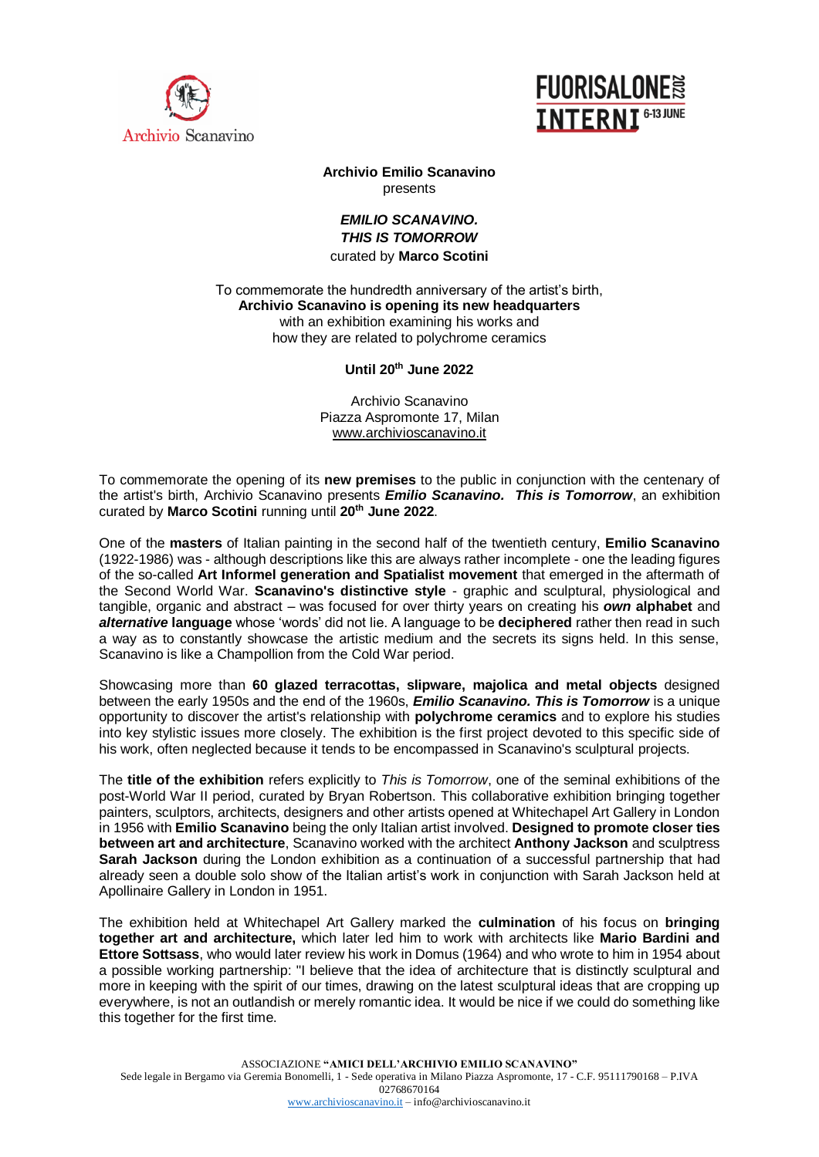



## **Archivio Emilio Scanavino** presents

## *EMILIO SCANAVINO. THIS IS TOMORROW*  curated by **Marco Scotini**

## To commemorate the hundredth anniversary of the artist's birth, **Archivio Scanavino is opening its new headquarters** with an exhibition examining his works and how they are related to polychrome ceramics

## **Until 20th June 2022**

Archivio Scanavino Piazza Aspromonte 17, Milan [www.archivioscanavino.it](http://www.archivioscanavino.it/)

To commemorate the opening of its **new premises** to the public in conjunction with the centenary of the artist's birth, Archivio Scanavino presents *Emilio Scanavino. This is Tomorrow*, an exhibition curated by **Marco Scotini** running until **20th June 2022**.

One of the **masters** of Italian painting in the second half of the twentieth century, **Emilio Scanavino** (1922-1986) was - although descriptions like this are always rather incomplete - one the leading figures of the so-called **Art Informel generation and Spatialist movement** that emerged in the aftermath of the Second World War. **Scanavino's distinctive style** - graphic and sculptural, physiological and tangible, organic and abstract – was focused for over thirty years on creating his *own* **alphabet** and *alternative* **language** whose 'words' did not lie. A language to be **deciphered** rather then read in such a way as to constantly showcase the artistic medium and the secrets its signs held. In this sense, Scanavino is like a Champollion from the Cold War period.

Showcasing more than **60 glazed terracottas, slipware, majolica and metal objects** designed between the early 1950s and the end of the 1960s, *Emilio Scanavino. This is Tomorrow* is a unique opportunity to discover the artist's relationship with **polychrome ceramics** and to explore his studies into key stylistic issues more closely. The exhibition is the first project devoted to this specific side of his work, often neglected because it tends to be encompassed in Scanavino's sculptural projects.

The **title of the exhibition** refers explicitly to *This is Tomorrow*, one of the seminal exhibitions of the post-World War II period, curated by Bryan Robertson. This collaborative exhibition bringing together painters, sculptors, architects, designers and other artists opened at Whitechapel Art Gallery in London in 1956 with **Emilio Scanavino** being the only Italian artist involved. **Designed to promote closer ties between art and architecture**, Scanavino worked with the architect **Anthony Jackson** and sculptress **Sarah Jackson** during the London exhibition as a continuation of a successful partnership that had already seen a double solo show of the Italian artist's work in conjunction with Sarah Jackson held at Apollinaire Gallery in London in 1951.

The exhibition held at Whitechapel Art Gallery marked the **culmination** of his focus on **bringing together art and architecture,** which later led him to work with architects like **Mario Bardini and Ettore Sottsass**, who would later review his work in Domus (1964) and who wrote to him in 1954 about a possible working partnership: "I believe that the idea of architecture that is distinctly sculptural and more in keeping with the spirit of our times, drawing on the latest sculptural ideas that are cropping up everywhere, is not an outlandish or merely romantic idea. It would be nice if we could do something like this together for the first time.